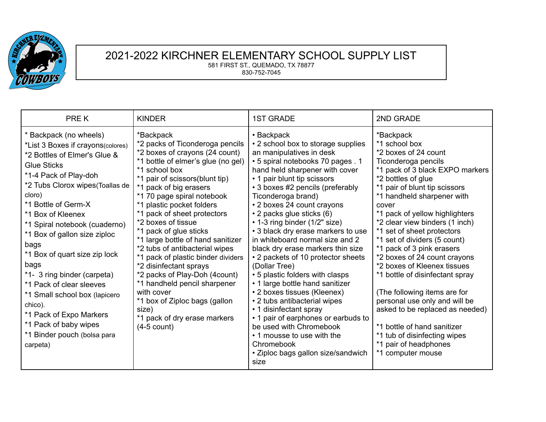

## 2021-2022 KIRCHNER ELEMENTARY SCHOOL SUPPLY LIST 581 FIRST ST., QUEMADO, TX 78877 830-752-7045

| PRE K                                                                                                                                                                                                                                                                                                                                                                                                                                                                                                                                                        | <b>KINDER</b>                                                                                                                                                                                                                                                                                                                                                                                                                                                                                                                                                                                                                                                | <b>1ST GRADE</b>                                                                                                                                                                                                                                                                                                                                                                                                                                                                                                                                                                                                                                                                                                                                                                                                                         | 2ND GRADE                                                                                                                                                                                                                                                                                                                                                                                                                                                                                                                                                                                                                                                                                    |
|--------------------------------------------------------------------------------------------------------------------------------------------------------------------------------------------------------------------------------------------------------------------------------------------------------------------------------------------------------------------------------------------------------------------------------------------------------------------------------------------------------------------------------------------------------------|--------------------------------------------------------------------------------------------------------------------------------------------------------------------------------------------------------------------------------------------------------------------------------------------------------------------------------------------------------------------------------------------------------------------------------------------------------------------------------------------------------------------------------------------------------------------------------------------------------------------------------------------------------------|------------------------------------------------------------------------------------------------------------------------------------------------------------------------------------------------------------------------------------------------------------------------------------------------------------------------------------------------------------------------------------------------------------------------------------------------------------------------------------------------------------------------------------------------------------------------------------------------------------------------------------------------------------------------------------------------------------------------------------------------------------------------------------------------------------------------------------------|----------------------------------------------------------------------------------------------------------------------------------------------------------------------------------------------------------------------------------------------------------------------------------------------------------------------------------------------------------------------------------------------------------------------------------------------------------------------------------------------------------------------------------------------------------------------------------------------------------------------------------------------------------------------------------------------|
| * Backpack (no wheels)<br>*List 3 Boxes if crayons(colores)<br>*2 Bottles of Elmer's Glue &<br><b>Glue Sticks</b><br>*1-4 Pack of Play-doh<br>*2 Tubs Clorox wipes (Toallas de<br>cloro)<br>*1 Bottle of Germ-X<br>*1 Box of Kleenex<br>*1 Spiral notebook (cuaderno)<br>*1 Box of gallon size ziploc<br>bags<br>*1 Box of quart size zip lock<br>bags<br>*1- 3 ring binder (carpeta)<br>*1 Pack of clear sleeves<br>*1 Small school box (lapicero<br>chico).<br>*1 Pack of Expo Markers<br>*1 Pack of baby wipes<br>*1 Binder pouch (bolsa para<br>carpeta) | *Backpack<br>*2 packs of Ticonderoga pencils<br>*2 boxes of crayons (24 count)<br>*1 bottle of elmer's glue (no gel)<br>*1 school box<br>*1 pair of scissors(blunt tip)<br>*1 pack of big erasers<br>*1 70 page spiral notebook<br>*1 plastic pocket folders<br>*1 pack of sheet protectors<br>*2 boxes of tissue<br>*1 pack of glue sticks<br>*1 large bottle of hand sanitizer<br>*2 tubs of antibacterial wipes<br>*1 pack of plastic binder dividers<br>*2 disinfectant sprays<br>*2 packs of Play-Doh (4count)<br>*1 handheld pencil sharpener<br>with cover<br>*1 box of Ziploc bags (gallon<br>size)<br>*1 pack of dry erase markers<br>$(4-5$ count) | • Backpack<br>• 2 school box to storage supplies<br>an manipulatives in desk<br>• 5 spiral notebooks 70 pages . 1<br>hand held sharpener with cover<br>• 1 pair blunt tip scissors<br>• 3 boxes #2 pencils (preferably<br>Ticonderoga brand)<br>• 2 boxes 24 count crayons<br>• 2 packs glue sticks (6)<br>• 1-3 ring binder (1/2" size)<br>• 3 black dry erase markers to use<br>in whiteboard normal size and 2<br>black dry erase markers thin size<br>• 2 packets of 10 protector sheets<br>(Dollar Tree)<br>• 5 plastic folders with clasps<br>• 1 large bottle hand sanitizer<br>• 2 boxes tissues (Kleenex)<br>• 2 tubs antibacterial wipes<br>• 1 disinfectant spray<br>• 1 pair of earphones or earbuds to<br>be used with Chromebook<br>• 1 mousse to use with the<br>Chromebook<br>• Ziploc bags gallon size/sandwich<br>size | *Backpack<br>*1 school box<br>*2 boxes of 24 count<br>Ticonderoga pencils<br>*1 pack of 3 black EXPO markers<br>*2 bottles of glue<br>*1 pair of blunt tip scissors<br>*1 handheld sharpener with<br>cover<br>*1 pack of yellow highlighters<br>*2 clear view binders (1 inch)<br>*1 set of sheet protectors<br>*1 set of dividers (5 count)<br>*1 pack of 3 pink erasers<br>*2 boxes of 24 count crayons<br>*2 boxes of Kleenex tissues<br>*1 bottle of disinfectant spray<br>(The following items are for<br>personal use only and will be<br>asked to be replaced as needed)<br>*1 bottle of hand sanitizer<br>*1 tub of disinfecting wipes<br>*1 pair of headphones<br>*1 computer mouse |